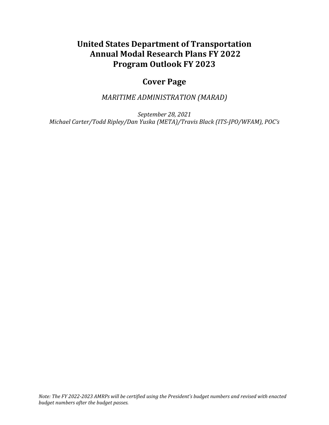# **United States Department of Transportation Annual Modal Research Plans FY 2022 Program Outlook FY 2023**

# **Cover Page**

*MARITIME ADMINISTRATION (MARAD)*

*September 28, 2021 Michael Carter/Todd Ripley/Dan Yuska (META)/Travis Black (ITS-JPO/WFAM), POC's*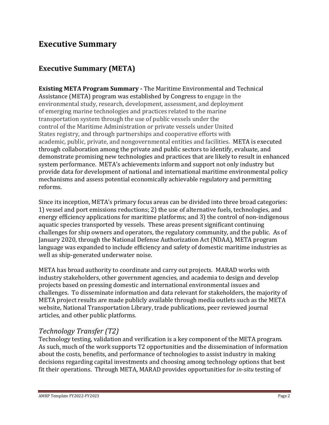## **Executive Summary**

## **Executive Summary (META)**

**Existing META Program Summary -** The Maritime Environmental and Technical Assistance (META) program was established by Congress to engage in the environmental study, research, development, assessment, and deployment of emerging marine technologies and practices related to the marine transportation system through the use of public vessels under the control of the Maritime Administration or private vessels under United States registry, and through partnerships and cooperative efforts with academic, public, private, and nongovernmental entities and facilities. META is executed through collaboration among the private and public sectors to identify, evaluate, and demonstrate promising new technologies and practices that are likely to result in enhanced system performance. META's achievements inform and support not only industry but provide data for development of national and international maritime environmental policy mechanisms and assess potential economically achievable regulatory and permitting reforms.

Since its inception, META's primary focus areas can be divided into three broad categories: 1) vessel and port emissions reductions; 2) the use of alternative fuels, technologies, and energy efficiency applications for maritime platforms; and 3) the control of non-indigenous aquatic species transported by vessels. These areas present significant continuing challenges for ship owners and operators, the regulatory community, and the public. As of January 2020, through the National Defense Authorization Act (NDAA), META program language was expanded to include efficiency and safety of domestic maritime industries as well as ship-generated underwater noise.

META has broad authority to coordinate and carry out projects. MARAD works with industry stakeholders, other government agencies, and academia to design and develop projects based on pressing domestic and international environmental issues and challenges. To disseminate information and data relevant for stakeholders, the majority of META project results are made publicly available through media outlets such as the META website, National Transportation Library, trade publications, peer reviewed journal articles, and other public platforms.

## *Technology Transfer (T2)*

Technology testing, validation and verification is a key component of the META program. As such, much of the work supports T2 opportunities and the dissemination of information about the costs, benefits, and performance of technologies to assist industry in making decisions regarding capital investments and choosing among technology options that best fit their operations. Through META, MARAD provides opportunities for *in-situ* testing of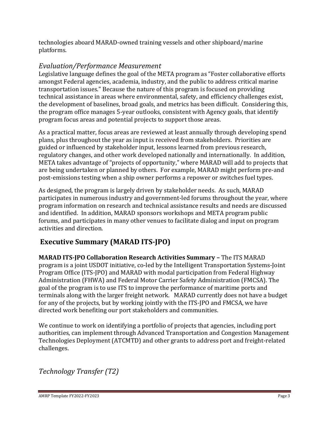technologies aboard MARAD-owned training vessels and other shipboard/marine platforms.

## *Evaluation/Performance Measurement*

Legislative language defines the goal of the META program as "Foster collaborative efforts amongst Federal agencies, academia, industry, and the public to address critical marine transportation issues." Because the nature of this program is focused on providing technical assistance in areas where environmental, safety, and efficiency challenges exist, the development of baselines, broad goals, and metrics has been difficult. Considering this, the program office manages 5-year outlooks, consistent with Agency goals, that identify program focus areas and potential projects to support those areas.

As a practical matter, focus areas are reviewed at least annually through developing spend plans, plus throughout the year as input is received from stakeholders. Priorities are guided or influenced by stakeholder input, lessons learned from previous research, regulatory changes, and other work developed nationally and internationally. In addition, META takes advantage of "projects of opportunity," where MARAD will add to projects that are being undertaken or planned by others. For example, MARAD might perform pre-and post-emissions testing when a ship owner performs a repower or switches fuel types.

As designed, the program is largely driven by stakeholder needs. As such, MARAD participates in numerous industry and government-led forums throughout the year, where program information on research and technical assistance results and needs are discussed and identified. In addition, MARAD sponsors workshops and META program public forums, and participates in many other venues to facilitate dialog and input on program activities and direction.

## **Executive Summary (MARAD ITS-JPO)**

**MARAD ITS-JPO Collaboration Research Activities Summary –** The ITS MARAD program is a joint USDOT initiative, co-led by the Intelligent Transportation Systems-Joint Program Office (ITS-JPO) and MARAD with modal participation from Federal Highway Administration (FHWA) and Federal Motor Carrier Safety Administration (FMCSA). The goal of the program is to use ITS to improve the performance of maritime ports and terminals along with the larger freight network. MARAD currently does not have a budget for any of the projects, but by working jointly with the ITS-JPO and FMCSA, we have directed work benefiting our port stakeholders and communities.

We continue to work on identifying a portfolio of projects that agencies, including port authorities, can implement through Advanced Transportation and Congestion Management Technologies Deployment (ATCMTD) and other grants to address port and freight-related challenges.

*Technology Transfer (T2)*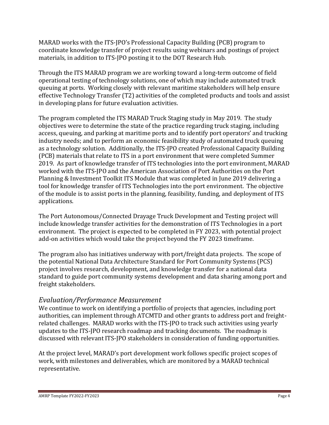MARAD works with the ITS-JPO's Professional Capacity Building (PCB) program to coordinate knowledge transfer of project results using webinars and postings of project materials, in addition to ITS-JPO posting it to the DOT Research Hub.

Through the ITS MARAD program we are working toward a long-term outcome of field operational testing of technology solutions, one of which may include automated truck queuing at ports. Working closely with relevant maritime stakeholders will help ensure effective Technology Transfer (T2) activities of the completed products and tools and assist in developing plans for future evaluation activities.

The program completed the ITS MARAD Truck Staging study in May 2019. The study objectives were to determine the state of the practice regarding truck staging, including access, queuing, and parking at maritime ports and to identify port operators' and trucking industry needs; and to perform an economic feasibility study of automated truck queuing as a technology solution. Additionally, the ITS-JPO created Professional Capacity Building (PCB) materials that relate to ITS in a port environment that were completed Summer 2019. As part of knowledge transfer of ITS technologies into the port environment, MARAD worked with the ITS-JPO and the American Association of Port Authorities on the Port Planning & Investment Toolkit ITS Module that was completed in June 2019 delivering a tool for knowledge transfer of ITS Technologies into the port environment. The objective of the module is to assist ports in the planning, feasibility, funding, and deployment of ITS applications.

The Port Autonomous/Connected Drayage Truck Development and Testing project will include knowledge transfer activities for the demonstration of ITS Technologies in a port environment. The project is expected to be completed in FY 2023, with potential project add-on activities which would take the project beyond the FY 2023 timeframe.

The program also has initiatives underway with port/freight data projects. The scope of the potential National Data Architecture Standard for Port Community Systems (PCS) project involves research, development, and knowledge transfer for a national data standard to guide port community systems development and data sharing among port and freight stakeholders.

## *Evaluation/Performance Measurement*

We continue to work on identifying a portfolio of projects that agencies, including port authorities, can implement through ATCMTD and other grants to address port and freightrelated challenges. MARAD works with the ITS-JPO to track such activities using yearly updates to the ITS-JPO research roadmap and tracking documents. The roadmap is discussed with relevant ITS-JPO stakeholders in consideration of funding opportunities.

At the project level, MARAD's port development work follows specific project scopes of work, with milestones and deliverables, which are monitored by a MARAD technical representative.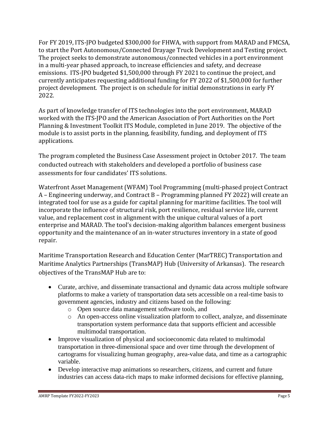For FY 2019, ITS-JPO budgeted \$300,000 for FHWA, with support from MARAD and FMCSA, to start the Port Autonomous/Connected Drayage Truck Development and Testing project. The project seeks to demonstrate autonomous/connected vehicles in a port environment in a multi-year phased approach, to increase efficiencies and safety, and decrease emissions. ITS-JPO budgeted \$1,500,000 through FY 2021 to continue the project, and currently anticipates requesting additional funding for FY 2022 of \$1,500,000 for further project development. The project is on schedule for initial demonstrations in early FY 2022.

As part of knowledge transfer of ITS technologies into the port environment, MARAD worked with the ITS-JPO and the American Association of Port Authorities on the Port Planning & Investment Toolkit ITS Module, completed in June 2019. The objective of the module is to assist ports in the planning, feasibility, funding, and deployment of ITS applications.

The program completed the Business Case Assessment project in October 2017. The team conducted outreach with stakeholders and developed a portfolio of business case assessments for four candidates' ITS solutions.

Waterfront Asset Management (WFAM) Tool Programming (multi-phased project Contract A – Engineering underway, and Contract B – Programming planned FY 2022) will create an integrated tool for use as a guide for capital planning for maritime facilities. The tool will incorporate the influence of structural risk, port resilience, residual service life, current value, and replacement cost in alignment with the unique cultural values of a port enterprise and MARAD. The tool's decision-making algorithm balances emergent business opportunity and the maintenance of an in-water structures inventory in a state of good repair.

Maritime Transportation Research and Education Center (MarTREC) Transportation and Maritime Analytics Partnerships (TransMAP) Hub (University of Arkansas). The research objectives of the TransMAP Hub are to:

- Curate, archive, and disseminate transactional and dynamic data across multiple software platforms to make a variety of transportation data sets accessible on a real-time basis to government agencies, industry and citizens based on the following:
	- o Open source data management software tools, and
	- o An open-access online visualization platform to collect, analyze, and disseminate transportation system performance data that supports efficient and accessible multimodal transportation.
- Improve visualization of physical and socioeconomic data related to multimodal transportation in three-dimensional space and over time through the development of cartograms for visualizing human geography, area-value data, and time as a cartographic variable.
- Develop interactive map animations so researchers, citizens, and current and future industries can access data-rich maps to make informed decisions for effective planning,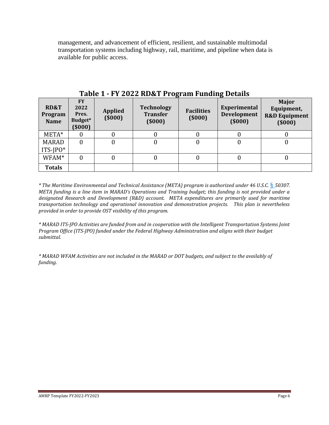management, and advancement of efficient, resilient, and sustainable multimodal transportation systems including highway, rail, maritime, and pipeline when data is available for public access.

| <b>RD&amp;T</b><br>Program<br><b>Name</b> | <b>FY</b><br>2022<br>Pres.<br>Budget*<br>$($ \$000) | <b>Applied</b><br>(5000) | <b>Technology</b><br><b>Transfer</b><br>(5000) | <b>Facilities</b><br>(5000) | <b>Experimental</b><br>Development<br>(5000) | <b>Major</b><br>Equipment,<br><b>R&amp;D Equipment</b><br>(5000) |
|-------------------------------------------|-----------------------------------------------------|--------------------------|------------------------------------------------|-----------------------------|----------------------------------------------|------------------------------------------------------------------|
| $META*$                                   |                                                     | 0                        |                                                |                             |                                              |                                                                  |
| <b>MARAD</b><br>$ITS$ - $P0*$             |                                                     | 0                        | 0                                              |                             |                                              | 0                                                                |
| WFAM*                                     |                                                     | 0                        |                                                |                             |                                              |                                                                  |
| <b>Totals</b>                             |                                                     |                          |                                                |                             |                                              |                                                                  |

**Table 1 - FY 2022 RD&T Program Funding Details** 

*\* The Maritime Environmental and Technical Assistance (META) program is authorized under 46 U.S.C.* § *50307. META funding is a line item in MARAD's Operations and Training budget; this funding is not provided under a designated Research and Development (R&D) account. META expenditures are primarily used for maritime transportation technology and operational innovation and demonstration projects. This plan is nevertheless provided in order to provide OST visibility of this program.*

*\* MARAD ITS-JPO Activities are funded from and in cooperation with the Intelligent Transportation Systems Joint Program Office (ITS-JPO) funded under the Federal Highway Administration and aligns with their budget submittal.*

*\* MARAD WFAM Activities are not included in the MARAD or DOT budgets, and subject to the availably of funding.*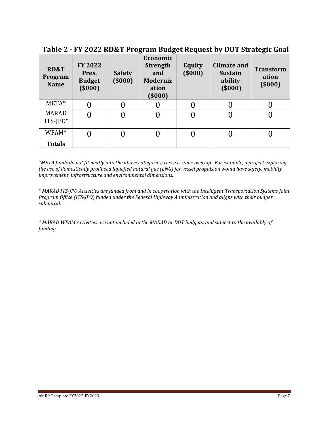| <b>RD&amp;T</b><br>Program<br><b>Name</b> | FY 2022<br>Pres.<br><b>Budget</b><br>(5000) | <b>Safety</b><br>(5000) | Economic<br><b>Strength</b><br>and<br><b>Moderniz</b><br>ation<br>(\$000) | <b>Equity</b><br>(5000) | <b>Climate and</b><br><b>Sustain</b><br>ability<br>(5000) | <b>Transform</b><br>ation<br>(5000) |
|-------------------------------------------|---------------------------------------------|-------------------------|---------------------------------------------------------------------------|-------------------------|-----------------------------------------------------------|-------------------------------------|
| $META*$                                   |                                             |                         |                                                                           |                         |                                                           |                                     |
| <b>MARAD</b><br>$ITS$ - $P0*$             |                                             |                         |                                                                           |                         |                                                           |                                     |
| WFAM*                                     |                                             |                         |                                                                           |                         |                                                           |                                     |
| <b>Totals</b>                             |                                             |                         |                                                                           |                         |                                                           |                                     |

**Table 2 - FY 2022 RD&T Program Budget Request by DOT Strategic Goal** 

*\*META funds do not fit neatly into the above categories; there is some overlap. For example, a project exploring the use of domestically produced liquefied natural gas (LNG) for vessel propulsion would have safety, mobility improvement, infrastructure and environmental dimensions.* 

*\* MARAD ITS-JPO Activities are funded from and in cooperation with the Intelligent Transportation Systems Joint Program Office (ITS-JPO) funded under the Federal Highway Administration and aligns with their budget submittal.*

*\* MARAD WFAM Activities are not included in the MARAD or DOT budgets, and subject to the availably of funding.*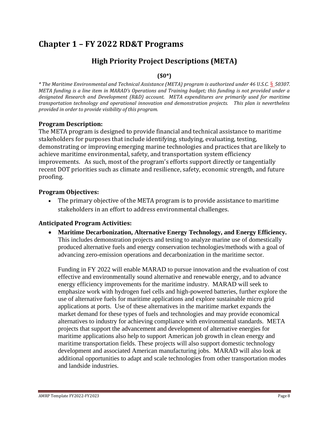# **Chapter 1 – FY 2022 RD&T Programs**

## **High Priority Project Descriptions (META)**

### **(\$0\*)**

*\* The Maritime Environmental and Technical Assistance (META) program is authorized under 46 U.S.C.* § *50307. META funding is a line item in MARAD's Operations and Training budget; this funding is not provided under a designated Research and Development (R&D) account. META expenditures are primarily used for maritime transportation technology and operational innovation and demonstration projects. This plan is nevertheless provided in order to provide visibility of this program.*

### **Program Description:**

The META program is designed to provide financial and technical assistance to maritime stakeholders for purposes that include identifying, studying, evaluating, testing, demonstrating or improving emerging marine technologies and practices that are likely to achieve maritime environmental, safety, and transportation system efficiency improvements. As such, most of the program's efforts support directly or tangentially recent DOT priorities such as climate and resilience, safety, economic strength, and future proofing.

### **Program Objectives:**

The primary objective of the META program is to provide assistance to maritime stakeholders in an effort to address environmental challenges.

## **Anticipated Program Activities:**

• **Maritime Decarbonization, Alternative Energy Technology, and Energy Efficiency.** This includes demonstration projects and testing to analyze marine use of domestically produced alternative fuels and energy conservation technologies/methods with a goal of advancing zero-emission operations and decarbonization in the maritime sector.

Funding in FY 2022 will enable MARAD to pursue innovation and the evaluation of cost effective and environmentally sound alternative and renewable energy, and to advance energy efficiency improvements for the maritime industry. MARAD will seek to emphasize work with hydrogen fuel cells and high-powered batteries, further explore the use of alternative fuels for maritime applications and explore sustainable micro grid applications at ports. Use of these alternatives in the maritime market expands the market demand for these types of fuels and technologies and may provide economical alternatives to industry for achieving compliance with environmental standards. META projects that support the advancement and development of alternative energies for maritime applications also help to support American job growth in clean energy and maritime transportation fields. These projects will also support domestic technology development and associated American manufacturing jobs. MARAD will also look at additional opportunities to adapt and scale technologies from other transportation modes and landside industries.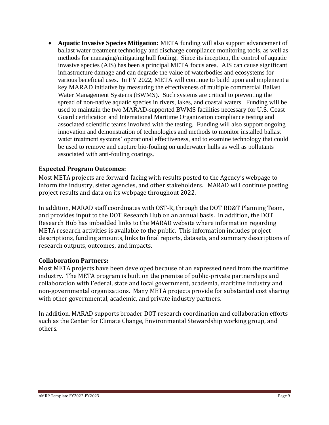• **Aquatic Invasive Species Mitigation:** META funding will also support advancement of ballast water treatment technology and discharge compliance monitoring tools, as well as methods for managing/mitigating hull fouling. Since its inception, the control of aquatic invasive species (AIS) has been a principal META focus area. AIS can cause significant infrastructure damage and can degrade the value of waterbodies and ecosystems for various beneficial uses. In FY 2022, META will continue to build upon and implement a key MARAD initiative by measuring the effectiveness of multiple commercial Ballast Water Management Systems (BWMS). Such systems are critical to preventing the spread of non-native aquatic species in rivers, lakes, and coastal waters. Funding will be used to maintain the two MARAD-supported BWMS facilities necessary for U.S. Coast Guard certification and International Maritime Organization compliance testing and associated scientific teams involved with the testing. Funding will also support ongoing innovation and demonstration of technologies and methods to monitor installed ballast water treatment systems' operational effectiveness, and to examine technology that could be used to remove and capture bio-fouling on underwater hulls as well as pollutants associated with anti-fouling coatings.

### **Expected Program Outcomes:**

Most META projects are forward-facing with results posted to the Agency's webpage to inform the industry, sister agencies, and other stakeholders. MARAD will continue posting project results and data on its webpage throughout 2022.

In addition, MARAD staff coordinates with OST-R, through the DOT RD&T Planning Team, and provides input to the DOT Research Hub on an annual basis. In addition, the DOT Research Hub has imbedded links to the MARAD website where information regarding META research activities is available to the public. This information includes project descriptions, funding amounts, links to final reports, datasets, and summary descriptions of research outputs, outcomes, and impacts.

#### **Collaboration Partners:**

Most META projects have been developed because of an expressed need from the maritime industry. The META program is built on the premise of public-private partnerships and collaboration with Federal, state and local government, academia, maritime industry and non-governmental organizations. Many META projects provide for substantial cost sharing with other governmental, academic, and private industry partners.

In addition, MARAD supports broader DOT research coordination and collaboration efforts such as the Center for Climate Change, Environmental Stewardship working group, and others.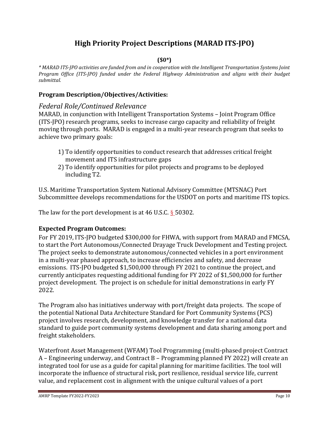## **High Priority Project Descriptions (MARAD ITS-JPO)**

#### **(\$0\*)**

*\* MARAD ITS-JPO activities are funded from and in cooperation with the Intelligent Transportation Systems Joint Program Office (ITS-JPO) funded under the Federal Highway Administration and aligns with their budget submittal.*

#### **Program Description/Objectives/Activities:**

#### *Federal Role/Continued Relevance*

MARAD, in conjunction with Intelligent Transportation Systems – Joint Program Office (ITS-JPO) research programs, seeks to increase cargo capacity and reliability of freight moving through ports. MARAD is engaged in a multi-year research program that seeks to achieve two primary goals:

- 1) To identify opportunities to conduct research that addresses critical freight movement and ITS infrastructure gaps
- 2) To identify opportunities for pilot projects and programs to be deployed including T2.

U.S. Maritime Transportation System National Advisory Committee (MTSNAC) Port Subcommittee develops recommendations for the USDOT on ports and maritime ITS topics.

The law for the port development is at 46 U.S.C.  $\S$  50302.

#### **Expected Program Outcomes:**

For FY 2019, ITS-JPO budgeted \$300,000 for FHWA, with support from MARAD and FMCSA, to start the Port Autonomous/Connected Drayage Truck Development and Testing project. The project seeks to demonstrate autonomous/connected vehicles in a port environment in a multi-year phased approach, to increase efficiencies and safety, and decrease emissions. ITS-JPO budgeted \$1,500,000 through FY 2021 to continue the project, and currently anticipates requesting additional funding for FY 2022 of \$1,500,000 for further project development. The project is on schedule for initial demonstrations in early FY 2022.

The Program also has initiatives underway with port/freight data projects. The scope of the potential National Data Architecture Standard for Port Community Systems (PCS) project involves research, development, and knowledge transfer for a national data standard to guide port community systems development and data sharing among port and freight stakeholders.

Waterfront Asset Management (WFAM) Tool Programming (multi-phased project Contract A – Engineering underway, and Contract B – Programming planned FY 2022) will create an integrated tool for use as a guide for capital planning for maritime facilities. The tool will incorporate the influence of structural risk, port resilience, residual service life, current value, and replacement cost in alignment with the unique cultural values of a port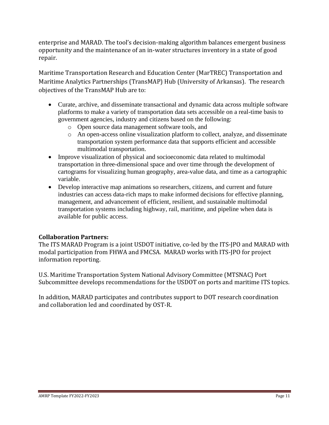enterprise and MARAD. The tool's decision-making algorithm balances emergent business opportunity and the maintenance of an in-water structures inventory in a state of good repair.

Maritime Transportation Research and Education Center (MarTREC) Transportation and Maritime Analytics Partnerships (TransMAP) Hub (University of Arkansas). The research objectives of the TransMAP Hub are to:

- Curate, archive, and disseminate transactional and dynamic data across multiple software platforms to make a variety of transportation data sets accessible on a real-time basis to government agencies, industry and citizens based on the following:
	- o Open source data management software tools, and
	- o An open-access online visualization platform to collect, analyze, and disseminate transportation system performance data that supports efficient and accessible multimodal transportation.
- Improve visualization of physical and socioeconomic data related to multimodal transportation in three-dimensional space and over time through the development of cartograms for visualizing human geography, area-value data, and time as a cartographic variable.
- Develop interactive map animations so researchers, citizens, and current and future industries can access data-rich maps to make informed decisions for effective planning, management, and advancement of efficient, resilient, and sustainable multimodal transportation systems including highway, rail, maritime, and pipeline when data is available for public access.

## **Collaboration Partners:**

The ITS MARAD Program is a joint USDOT initiative, co-led by the ITS-JPO and MARAD with modal participation from FHWA and FMCSA. MARAD works with ITS-JPO for project information reporting.

U.S. Maritime Transportation System National Advisory Committee (MTSNAC) Port Subcommittee develops recommendations for the USDOT on ports and maritime ITS topics.

In addition, MARAD participates and contributes support to DOT research coordination and collaboration led and coordinated by OST-R.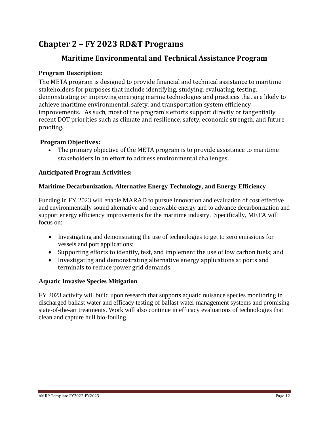# **Chapter 2 – FY 2023 RD&T Programs**

# **Maritime Environmental and Technical Assistance Program**

## **Program Description:**

The META program is designed to provide financial and technical assistance to maritime stakeholders for purposes that include identifying, studying, evaluating, testing, demonstrating or improving emerging marine technologies and practices that are likely to achieve maritime environmental, safety, and transportation system efficiency improvements. As such, most of the program's efforts support directly or tangentially recent DOT priorities such as climate and resilience, safety, economic strength, and future proofing.

## **Program Objectives:**

• The primary objective of the META program is to provide assistance to maritime stakeholders in an effort to address environmental challenges.

## **Anticipated Program Activities:**

## **Maritime Decarbonization, Alternative Energy Technology, and Energy Efficiency**

Funding in FY 2023 will enable MARAD to pursue innovation and evaluation of cost effective and environmentally sound alternative and renewable energy and to advance decarbonization and support energy efficiency improvements for the maritime industry. Specifically, META will focus on:

- Investigating and demonstrating the use of technologies to get to zero emissions for vessels and port applications;
- Supporting efforts to identify, test, and implement the use of low carbon fuels; and
- Investigating and demonstrating alternative energy applications at ports and terminals to reduce power grid demands.

## **Aquatic Invasive Species Mitigation**

FY 2023 activity will build upon research that supports aquatic nuisance species monitoring in discharged ballast water and efficacy testing of ballast water management systems and promising state-of-the-art treatments. Work will also continue in efficacy evaluations of technologies that clean and capture hull bio-fouling.